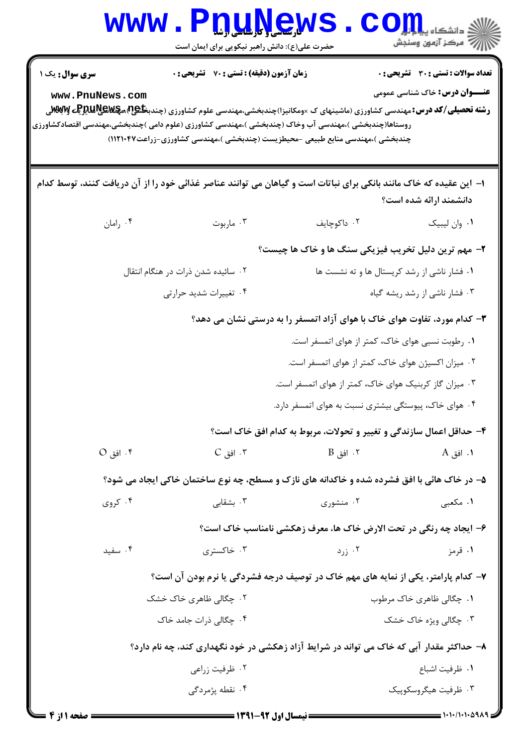| <b>WWW</b>                                         | <b>لارسامی (باریل باریل</b><br>حضرت علی(ع): دانش راهبر نیکویی برای ایمان است                                                                                                                                                                                                                  |                                                                                    | د دانشگاه پ <b>یاح ت<mark>و</mark>ر</b><br>ر آمرڪز آزمون وسنڊش                       |
|----------------------------------------------------|-----------------------------------------------------------------------------------------------------------------------------------------------------------------------------------------------------------------------------------------------------------------------------------------------|------------------------------------------------------------------------------------|--------------------------------------------------------------------------------------|
| سری سوال: یک ۱<br>www.PnuNews.com                  | <b>زمان آزمون (دقیقه) : تستی : 70 گشریحی : 0</b><br><b>رشته تحصیلی/کد درس:</b> مهندسی کشاورزی (ماشینهای ک ×ومکانیزا)چندبخشی،مهندسی علوم کشاورزی (چندب <b>خاﷺ،مچکالیالیالیا آبا%ل</b> ی<br>روستاها(چندبخشی )،مهندسی آب وخاک (چندبخشی )،مهندسی کشاورزی (علوم دامی )چندبخشی،مهندسی اقتصادکشاورزی |                                                                                    | <b>تعداد سوالات : تستی : 30 ٪ تشریحی : 0</b><br><b>عنـــوان درس:</b> خاک شناسی عمومی |
|                                                    | چندبخشی )،مهندسی منابع طبیعی -محیطزیست (چندبخشی )،مهندسی کشاورزی-زراعت۱۲۱۰۴۷)                                                                                                                                                                                                                 |                                                                                    |                                                                                      |
|                                                    | ۱– این عقیده که خاک مانند بانکی برای نباتات است و گیاهان می توانند عناصر غذائی خود را از آن دریافت کنند، توسط کدام                                                                                                                                                                            |                                                                                    |                                                                                      |
| ۰۴ رامان                                           | ۰۳ ماربوت                                                                                                                                                                                                                                                                                     | ٢. داكوچايف                                                                        | دانشمند ارائه شده است؟<br>٠١ وان ليبيک                                               |
|                                                    |                                                                                                                                                                                                                                                                                               |                                                                                    |                                                                                      |
|                                                    |                                                                                                                                                                                                                                                                                               | ۲- مهم ترین دلیل تخریب فیزیکی سنگ ها و خاک ها چیست؟                                |                                                                                      |
|                                                    | ۰۲ سائیده شدن ذرات در هنگام انتقال                                                                                                                                                                                                                                                            | ۰۱ فشار ناشی از رشد کریستال ها و ته نشست ها                                        |                                                                                      |
|                                                    | ۰۴ تغییرات شدید حرارتی                                                                                                                                                                                                                                                                        |                                                                                    | ۰۳ فشار ناشی از رشد ریشه گیاه                                                        |
|                                                    |                                                                                                                                                                                                                                                                                               | ۳- کدام مورد، تفاوت هوای خاک با هوای آزاد اتمسفر را به درستی نشان می دهد؟          |                                                                                      |
|                                                    |                                                                                                                                                                                                                                                                                               | ۰۱ رطوبت نسبی هوای خاک، کمتر از هوای اتمسفر است.                                   |                                                                                      |
|                                                    |                                                                                                                                                                                                                                                                                               | ۰۲ میزان اکسیژن هوای خاک، کمتر از هوای اتمسفر است.                                 |                                                                                      |
|                                                    |                                                                                                                                                                                                                                                                                               | ۰۳ میزان گاز کربنیک هوای خاک، کمتر از هوای اتمسفر است.                             |                                                                                      |
|                                                    |                                                                                                                                                                                                                                                                                               | ۰۴ هوای خاک، پیوستگی بیشتری نسبت به هوای اتمسفر دارد.                              |                                                                                      |
|                                                    |                                                                                                                                                                                                                                                                                               | ۴- حداقل اعمال سازندگی و تغییر و تحولات، مربوط به کدام افق خاک است؟                |                                                                                      |
| $O_{\alpha}$ 1. افق $\delta$                       | $C_{\tilde{a}}$ . افق $\cdot$                                                                                                                                                                                                                                                                 | $\mathbf B$ 1. افق $\mathbf B$                                                     | <b>۱.</b> افق A                                                                      |
|                                                    | ۵- در خاک هائی با افق فشرده شده و خاکدانه های نازک و مسطح، چه نوع ساختمان خاکی ایجاد می شود؟                                                                                                                                                                                                  |                                                                                    |                                                                                      |
| ۰۴ کروی                                            | بشقابی $\cdot$ ۳                                                                                                                                                                                                                                                                              | ۰۲ منشوری                                                                          | ۰۱ مکعبی                                                                             |
|                                                    |                                                                                                                                                                                                                                                                                               | ۶- ایجاد چه رنگی در تحت الارض خاک ها، معرف زهکشی نامناسب خاک است؟                  |                                                                                      |
| ۰۴ سفید                                            | ۰۳ خاکستری                                                                                                                                                                                                                                                                                    | ۰۲ زرد $\cdot$                                                                     | ۰۱ قرمز                                                                              |
|                                                    |                                                                                                                                                                                                                                                                                               | ۷- کدام پارامتر، یکی از نمایه های مهم خاک در توصیف درجه فشردگی یا نرم بودن آن است؟ |                                                                                      |
| ۰۲ چگالی ظاهری خاک خشک<br>۰۱ چگالي ظاهري خاک مرطوب |                                                                                                                                                                                                                                                                                               |                                                                                    |                                                                                      |
|                                                    | ۰۴ چگالی ذرات جامد خاک                                                                                                                                                                                                                                                                        |                                                                                    | ۰۳ چگالی ویژه خاک خشک                                                                |
|                                                    | ۸– حداکثر مقدار آبی که خاک می تواند در شرایط آزاد زهکشی در خود نگهداری کند، چه نام دارد؟                                                                                                                                                                                                      |                                                                                    |                                                                                      |
|                                                    | ۰۲ ظرفیت زراعی                                                                                                                                                                                                                                                                                |                                                                                    | ٠١. ظرفيت اشباع                                                                      |
|                                                    | ۰۴ نقطه پژمردگی                                                                                                                                                                                                                                                                               |                                                                                    | ۰۳ ظرفیت هیگروسکوپیک                                                                 |
|                                                    |                                                                                                                                                                                                                                                                                               | ______ \\**4\__4Y__t_t_t_tt; _______                                               | $= 1.11.11.0914$                                                                     |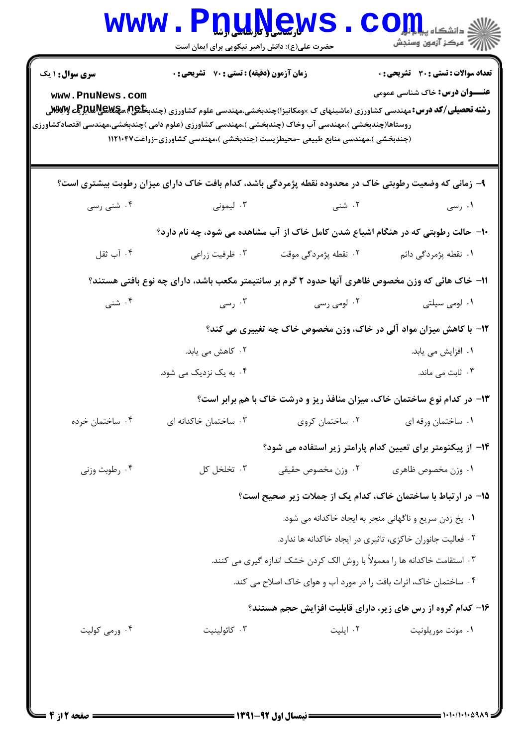| <b>سری سوال :</b> ۱ یک | زمان آزمون (دقیقه) : تستی : 70 گشریحی : 0 |                                                                                                                                                                                                                                                                                                                                      | تعداد سوالات : تستى : 30 قشريحى : 0                    |
|------------------------|-------------------------------------------|--------------------------------------------------------------------------------------------------------------------------------------------------------------------------------------------------------------------------------------------------------------------------------------------------------------------------------------|--------------------------------------------------------|
| www.PnuNews.com        |                                           | <b>رشته تحصیلی/کد درس: م</b> هندسی کشاورزی (ماشینهای ک ×ومکانیزا)چندبخشی،مهندسی علوم کشاورزی (چندب <b>خلیج) مچهلایپالیلیالیا تواباتهل</b> ی<br>روستاها(چندبخشی )،مهندسی آب وخاک (چندبخشی )،مهندسی کشاورزی (علوم دامی )چندبخشی،مهندسی اقتصادکشاورزی<br>(چندبخشی )،مهندسی منابع طبیعی -محیطزیست (چندبخشی )،مهندسی کشاورزی-زراعت۱۱۲۱۰۴۷ | <b>عنـــوان درس:</b> خاک شناسی عمومی                   |
|                        |                                           | ۹- زمانی که وضعیت رطوبتی خاک در محدوده نقطه پژمردگی باشد، کدام بافت خاک دارای میزان رطوبت بیشتری است؟                                                                                                                                                                                                                                |                                                        |
| ۰۴ شنی رسی             | ۰۳ لیمونی                                 | ۰۲ شنی                                                                                                                                                                                                                                                                                                                               | ۰۱ رسی                                                 |
|                        |                                           | ۱۰- حالت رطوبتی که در هنگام اشباع شدن کامل خاک از آب مشاهده می شود، چه نام دارد؟                                                                                                                                                                                                                                                     |                                                        |
| ۰۴ آب ثقل              | ۰۳ ظرفیت زراعی                            | ۲. نقطه پژمردگی موقت                                                                                                                                                                                                                                                                                                                 | <b>۱.</b> نقطه پژمردگی دائم                            |
|                        |                                           | 11– خاک هائی که وزن مخصوص ظاهری آنها حدود ۲ گرم بر سانتیمتر مکعب باشد، دارای چه نوع بافتی هستند؟                                                                                                                                                                                                                                     |                                                        |
| ۰۴ شنبي                | ۰۳ رسی                                    | ۰۲ لومی رسی                                                                                                                                                                                                                                                                                                                          | ۰۱ لومی سیلتی                                          |
|                        |                                           | 12- با کاهش میزان مواد آلی در خاک، وزن مخصوص خاک چه تغییری می کند؟                                                                                                                                                                                                                                                                   |                                                        |
|                        | ۰۲ کاهش می یابد.                          |                                                                                                                                                                                                                                                                                                                                      | ۰۱ افزایش می یابد.                                     |
|                        | ۰۴ به یک نزدیک می شود.                    |                                                                                                                                                                                                                                                                                                                                      | ۰۳ ثابت می ماند.                                       |
|                        |                                           | ۱۳- در کدام نوع ساختمان خاک، میزان منافذ ریز و درشت خاک با هم برابر است؟                                                                                                                                                                                                                                                             |                                                        |
| ۰۴ ساختمان خرده        | ۰۳ ساختمان خاکدانه ای                     | ۰۲ ساختمان کروی                                                                                                                                                                                                                                                                                                                      | ۰۱ ساختمان ورقه ای                                     |
|                        |                                           | ۱۴– از پیکنومتر برای تعیین کدام پارامتر زیر استفاده می شود؟                                                                                                                                                                                                                                                                          |                                                        |
| ۰۴ رطوبت وزنی          | ۰۳ تخلخل کل                               | ۰۲ وزن مخصوص حقيقى                                                                                                                                                                                                                                                                                                                   | ٠١ وزن مخصوص ظاهري                                     |
|                        |                                           | ۱۵– در ارتباط با ساختمان خاک، کدام یک از جملات زیر صحیح است؟                                                                                                                                                                                                                                                                         |                                                        |
|                        |                                           |                                                                                                                                                                                                                                                                                                                                      | ٠. يخ زدن سريع و ناگهاني منجر به ايجاد خاكدانه مي شود. |
|                        |                                           | ۰۲ فعالیت جانوران خاکزی، تاثیری در ایجاد خاکدانه ها ندارد.                                                                                                                                                                                                                                                                           |                                                        |
|                        |                                           | ۰۳ استقامت خاکدانه ها را معمولاً با روش الک کردن خشک اندازه گیری می کنند.                                                                                                                                                                                                                                                            |                                                        |
|                        |                                           | ۰۴ ساختمان خاک، اثرات بافت را در مورد آب و هوای خاک اصلاح می کند.                                                                                                                                                                                                                                                                    |                                                        |
|                        |                                           | ۱۶- کدام گروه از رس های زیر، دارای قابلیت افزایش حجم هستند؟                                                                                                                                                                                                                                                                          |                                                        |
| ۰۴ ورمی کولیت          | ۰۳ کائولینیت                              | ۰۲ ایلیت                                                                                                                                                                                                                                                                                                                             | ٠١ مونت موريلونيت                                      |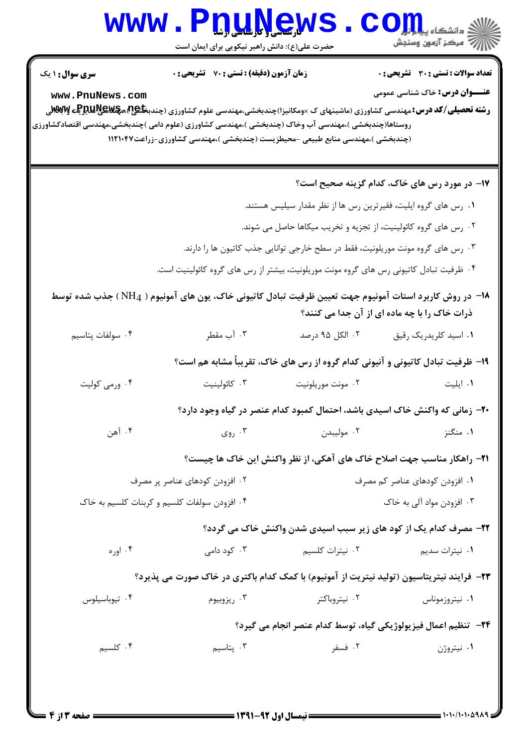| سری سوال: ۱ یک                                                                                                                         | زمان آزمون (دقیقه) : تستی : 70 ٪ تشریحی : 0 |                                                                                        | <b>تعداد سوالات : تستی : 30 ٪ تشریحی : 0</b>                                              |
|----------------------------------------------------------------------------------------------------------------------------------------|---------------------------------------------|----------------------------------------------------------------------------------------|-------------------------------------------------------------------------------------------|
| www.PnuNews.com                                                                                                                        |                                             |                                                                                        | <b>عنـــوان درس:</b> خاک شناسی عمومی                                                      |
| <b>رشته تحصیلی/کد درس:</b> مهندسی کشاورزی (ماشینهای ک ×ومکانیزا)چندبخشی،مهندسی علوم کشاورزی (چندب <b>خاﷺ،مچکاپالیاتوچی MِSvِT</b><br>. |                                             |                                                                                        |                                                                                           |
| روستاها(چندبخشی )،مهندسی آب وخاک (چندبخشی )،مهندسی کشاورزی (علوم دامی )چندبخشی،مهندسی اقتصادکشاورزی                                    |                                             | (چندبخشی )،مهندسی منابع طبیعی -محیطزیست (چندبخشی )،مهندسی کشاورزی-زراعت۱۱۲۱۰۴۷         |                                                                                           |
|                                                                                                                                        |                                             |                                                                                        |                                                                                           |
|                                                                                                                                        |                                             |                                                                                        | ۱۷– در مورد رس های خاک، کدام گزینه صحیح است؟                                              |
|                                                                                                                                        |                                             | ۰۱ رس های گروه ایلیت، فقیرترین رس ها از نظر مقدار سیلیس هستند.                         |                                                                                           |
|                                                                                                                                        |                                             | ۰۲ رس های گروه کائولینیت، از تجزیه و تخریب میکاها حاصل می شوند.                        |                                                                                           |
|                                                                                                                                        |                                             | ۰۳ رس های گروه مونت موریلونیت، فقط در سطح خارجی توانایی جذب کاتیون ها را دارند.        |                                                                                           |
|                                                                                                                                        |                                             | ۰۴ ظرفیت تبادل کاتیونی رس های گروه مونت موریلونیت، بیشتر از رس های گروه کائولینیت است. |                                                                                           |
| ۱۸− در روش کاربرد استات آمونیوم جهت تعیین ظرفیت تبادل کاتیونی خاک، یون های آمونیوم ( NH4) جذب شده توسط                                 |                                             |                                                                                        |                                                                                           |
|                                                                                                                                        |                                             |                                                                                        | ذرات خاک را با چه ماده ای از آن جدا می کنند؟                                              |
| ۰۴ سولفات پتاسیم                                                                                                                       | ۰۳ آب مقطر                                  | ۰۲ الکل ۹۵ درصد                                                                        | ٠١ اسيد كلريدريك رقيق                                                                     |
|                                                                                                                                        |                                             | ۱۹- ظرفیت تبادل کاتیونی و آنیونی کدام گروه از رس های خاک، تقریباً مشابه هم است؟        |                                                                                           |
| ۰۴ ورمی کولیت                                                                                                                          | ۰۳ كائولينيت                                | ۰۲ مونت موریلونیت                                                                      | ۰۱ ایلیت                                                                                  |
|                                                                                                                                        |                                             | +۲- زمانی که واکنش خاک اسیدی باشد، احتمال کمبود کدام عنصر در گیاه وجود دارد؟           |                                                                                           |
| ۰۴ آهن                                                                                                                                 | ۰۳ روی $\cdot$                              | ۰۲ مولیبدن                                                                             | ۰۱ منگنز                                                                                  |
|                                                                                                                                        |                                             |                                                                                        | <b>۲۱</b> - راهکار مناسب جهت اصلاح خاک های آهکی، از نظر واکنش این خاک ها چیست؟            |
| ۰۲ افزودن کودهای عناصر پر مصرف                                                                                                         |                                             | ۰۱ افزودن کودهای عناصر کم مصرف                                                         |                                                                                           |
| ۰۴ افزودن سولفات كلسيم و كربنات كلسيم به خاك                                                                                           |                                             | ۰۳ افزودن مواد آلی به خاک                                                              |                                                                                           |
|                                                                                                                                        |                                             | ۲۲- مصرف کدام یک از کود های زیر سبب اسیدی شدن واکنش خاک می گردد؟                       |                                                                                           |
| ۰۴ اوره                                                                                                                                | ۰۳ کود دامی                                 | ۰۲ نیترات کلسیم                                                                        | ۰۱ نیترات سدیم                                                                            |
|                                                                                                                                        |                                             |                                                                                        | ۲۳- فرایند نیتریتاسیون (تولید نیتریت از آمونیوم) با کمک کدام باکتری در خاک صورت می پذیرد؟ |
| ۰۴ تيوباسيلوس                                                                                                                          | ۰۳ ريزوبيوم                                 | ۰۲ نیتروباکتر                                                                          | ۰۱ نیتروزموناس                                                                            |
|                                                                                                                                        |                                             |                                                                                        | ٢۴− تنظیم اعمال فیزیولوژیکی گیاه، توسط کدام عنصر انجام می گیرد؟                           |
| ۰۴ کلسیم                                                                                                                               | ۰۳ پتاسیم                                   | ۰۲ فسفر                                                                                | ۰۱ نیتروژن                                                                                |